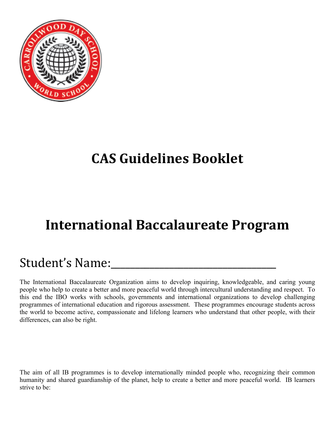

# **CAS Guidelines Booklet**

# **International Baccalaureate Program**

# Student's Name:\_\_\_\_\_\_\_\_\_\_\_\_\_\_\_\_\_\_\_\_\_\_\_\_\_\_\_\_\_\_\_\_\_\_

The International Baccalaureate Organization aims to develop inquiring, knowledgeable, and caring young people who help to create a better and more peaceful world through intercultural understanding and respect. To this end the IBO works with schools, governments and international organizations to develop challenging programmes of international education and rigorous assessment. These programmes encourage students across the world to become active, compassionate and lifelong learners who understand that other people, with their differences, can also be right.

The aim of all IB programmes is to develop internationally minded people who, recognizing their common humanity and shared guardianship of the planet, help to create a better and more peaceful world. IB learners strive to be: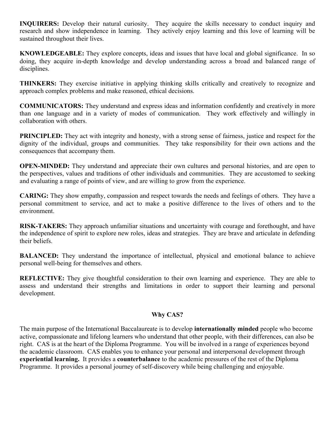**INQUIRERS:** Develop their natural curiosity. They acquire the skills necessary to conduct inquiry and research and show independence in learning. They actively enjoy learning and this love of learning will be sustained throughout their lives.

**KNOWLEDGEABLE:** They explore concepts, ideas and issues that have local and global significance. In so doing, they acquire in-depth knowledge and develop understanding across a broad and balanced range of disciplines.

**THINKERS:** They exercise initiative in applying thinking skills critically and creatively to recognize and approach complex problems and make reasoned, ethical decisions.

**COMMUNICATORS:** They understand and express ideas and information confidently and creatively in more than one language and in a variety of modes of communication. They work effectively and willingly in collaboration with others.

**PRINCIPLED:** They act with integrity and honesty, with a strong sense of fairness, justice and respect for the dignity of the individual, groups and communities. They take responsibility for their own actions and the consequences that accompany them.

**OPEN-MINDED:** They understand and appreciate their own cultures and personal histories, and are open to the perspectives, values and traditions of other individuals and communities. They are accustomed to seeking and evaluating a range of points of view, and are willing to grow from the experience.

**CARING:** They show empathy, compassion and respect towards the needs and feelings of others. They have a personal commitment to service, and act to make a positive difference to the lives of others and to the environment.

**RISK-TAKERS:** They approach unfamiliar situations and uncertainty with courage and forethought, and have the independence of spirit to explore new roles, ideas and strategies. They are brave and articulate in defending their beliefs.

**BALANCED:** They understand the importance of intellectual, physical and emotional balance to achieve personal well-being for themselves and others.

**REFLECTIVE:** They give thoughtful consideration to their own learning and experience. They are able to assess and understand their strengths and limitations in order to support their learning and personal development.

#### **Why CAS?**

The main purpose of the International Baccalaureate is to develop **internationally minded** people who become active, compassionate and lifelong learners who understand that other people, with their differences, can also be right. CAS is at the heart of the Diploma Programme. You will be involved in a range of experiences beyond the academic classroom. CAS enables you to enhance your personal and interpersonal development through **experiential learning.** It provides a **counterbalance** to the academic pressures of the rest of the Diploma Programme. It provides a personal journey of self-discovery while being challenging and enjoyable.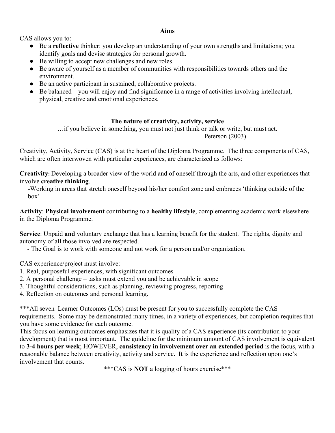#### **Aims**

CAS allows you to:

- Be a **reflective** thinker: you develop an understanding of your own strengths and limitations; you identify goals and devise strategies for personal growth.
- Be willing to accept new challenges and new roles.
- Be aware of yourself as a member of communities with responsibilities towards others and the environment.
- Be an active participant in sustained, collaborative projects.
- Be balanced you will enjoy and find significance in a range of activities involving intellectual, physical, creative and emotional experiences.

#### **The nature of creativity, activity, service**

…if you believe in something, you must not just think or talk or write, but must act. Peterson (2003)

Creativity, Activity, Service (CAS) is at the heart of the Diploma Programme. The three components of CAS, which are often interwoven with particular experiences, are characterized as follows:

**Creativity**: Developing a broader view of the world and of oneself through the arts, and other experiences that involve **creative thinking**.

 -Working in areas that stretch oneself beyond his/her comfort zone and embraces 'thinking outside of the box'

**Activity**: **Physical involvement** contributing to a **healthy lifestyle**, complementing academic work elsewhere in the Diploma Programme.

**Service**: Unpaid **and** voluntary exchange that has a learning benefit for the student. The rights, dignity and autonomy of all those involved are respected.

 - The Goal is to work with someone and not work for a person and/or organization.

CAS experience/project must involve:

- 1. Real, purposeful experiences, with significant outcomes
- 2. A personal challenge tasks must extend you and be achievable in scope
- 3. Thoughtful considerations, such as planning, reviewing progress, reporting

4. Reflection on outcomes and personal learning.

\*\*\*All seven Learner Outcomes (LOs) must be present for you to successfully complete the CAS requirements. Some may be demonstrated many times, in a variety of experiences, but completion requires that you have some evidence for each outcome.

This focus on learning outcomes emphasizes that it is quality of a CAS experience (its contribution to your development) that is most important. The guideline for the minimum amount of CAS involvement is equivalent to **3-4 hours per week**; HOWEVER, **consistency in involvement over an extended period** is the focus, with a reasonable balance between creativity, activity and service. It is the experience and reflection upon one's involvement that counts.

\*\*\*CAS is **NOT** a logging of hours exercise\*\*\*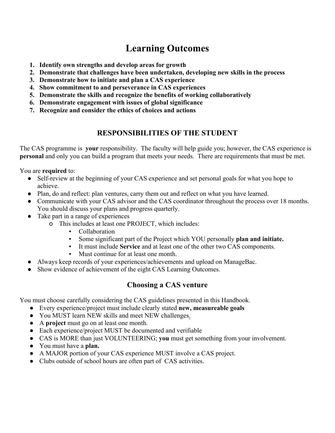# **Learning Outcomes**

- **1. Identify own strengths and develop areas for growth**
- **2. Demonstrate that challenges have been undertaken, developing new skills in the process**
- **3. Demonstrate how to initiate and plan a CAS experience**
- **4. Show commitment to and perseverance in CAS experiences**
- **5. Demonstrate the skills and recognize the benefits of working collaboratively**
- **6. Demonstrate engagement with issues of global significance**
- **7. Recognize and consider the ethics of choices and actions**

# **RESPONSIBILITIES OF THE STUDENT**

The CAS programme is **your** responsibility. The faculty will help guide you; however, the CAS experience is **personal** and only you can build a program that meets your needs. There are requirements that must be met.

You are **required** to:

- Self-review at the beginning of your CAS experience and set personal goals for what you hope to achieve.
- Plan, do and reflect: plan ventures, carry them out and reflect on what you have learned.
- Communicate with your CAS advisor and the CAS coordinator throughout the process over 18 months. You should discuss your plans and progress quarterly.
- Take part in a range of experiences
	- o This includes at least one PROJECT, which includes:
		- **Collaboration**
		- Some significant part of the Project which YOU personally **plan and initiate.**
		- It must include **Service** and at least one of the other two CAS components.
		- Must continue for at least one month.
- Always keep records of your experiences/achievements and upload on ManageBac.
- Show evidence of achievement of the eight CAS Learning Outcomes.

# **Choosing a CAS venture**

You must choose carefully considering the CAS guidelines presented in this Handbook.

- Every experience/project must include clearly stated **new, measureable goals**
- You MUST learn NEW skills and meet NEW challenges.
- A **project** must go on at least one month.
- Each experience/project MUST be documented and verifiable
- CAS is MORE than just VOLUNTEERING; **you** must get something from your involvement.
- You must have a **plan.**
- A MAJOR portion of your CAS experience MUST involve a CAS project.
- Clubs outside of school hours are often part of CAS activities.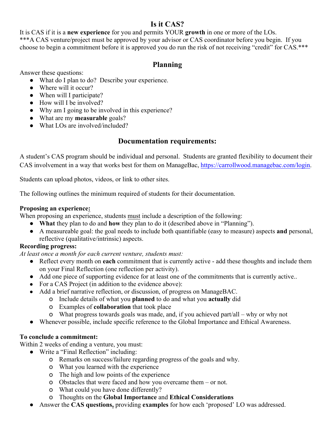#### **Is it CAS?**

It is CAS if it is a **new experience** for you and permits YOUR **growth** in one or more of the LOs. \*\*\*A CAS venture/project must be approved by your advisor or CAS coordinator before you begin. If you choose to begin a commitment before it is approved you do run the risk of not receiving "credit" for CAS.\*\*\*

#### **Planning**

Answer these questions:

- What do I plan to do? Describe your experience.
- Where will it occur?
- When will I participate?
- How will I be involved?
- Why am I going to be involved in this experience?
- What are my **measurable** goals?
- What LOs are involved/included?

### **Documentation requirements:**

A student's CAS program should be individual and personal. Students are granted flexibility to document their CAS involvement in a way that works best for them on ManageBac, https://carrollwood.managebac.com/login.

Students can upload photos, videos, or link to other sites.

The following outlines the minimum required of students for their documentation.

#### **Proposing an experience:**

When proposing an experience, students must include a description of the following:

- **What** they plan to do and **how** they plan to do it (described above in "Planning").
- A measureable goal: the goal needs to include both quantifiable (easy to measure) aspects **and** personal, reflective (qualitative/intrinsic) aspects.

#### **Recording progress:**

*At least once a month for each current venture, students must:*

- Reflect every month on **each** commitment that is currently active add these thoughts and include them on your Final Reflection (one reflection per activity).
- Add one piece of supporting evidence for at least one of the commitments that is currently active..
- For a CAS Project (in addition to the evidence above):
- Add a brief narrative reflection, or discussion, of progress on ManageBAC.
	- o Include details of what you **planned** to do and what you **actually** did
	- o Examples of **collaboration** that took place
	- o What progress towards goals was made, and, if you achieved part/all why or why not
- Whenever possible, include specific reference to the Global Importance and Ethical Awareness.

#### **To conclude a commitment:**

Within 2 weeks of ending a venture, you must:

- Write a "Final Reflection" including:
	- o Remarks on success/failure regarding progress of the goals and why.
	- o What you learned with the experience
	- o The high and low points of the experience
	- o Obstacles that were faced and how you overcame them or not.
	- o What could you have done differently?
	- o Thoughts on the **Global Importance** and **Ethical Considerations**
- Answer the **CAS questions,** providing **examples** for how each 'proposed' LO was addressed.